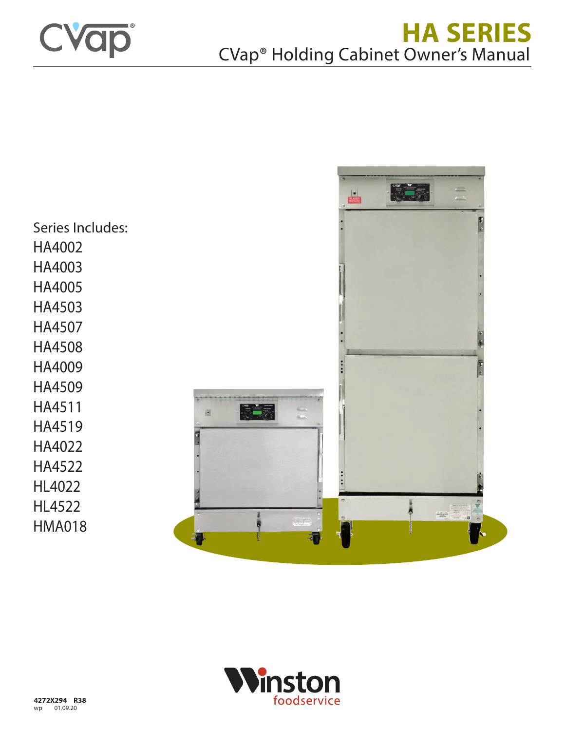

E- $\frac{1}{2}$ Series Includes: HA4002 HA4003 HA4005 HA4503 HA4507 HA4508 HA4009 HA4509 HA4511 **ILLE** a HA4519 HA4022 HA4522 HL4022 HL4522  $\frac{1}{2}$ HMA018

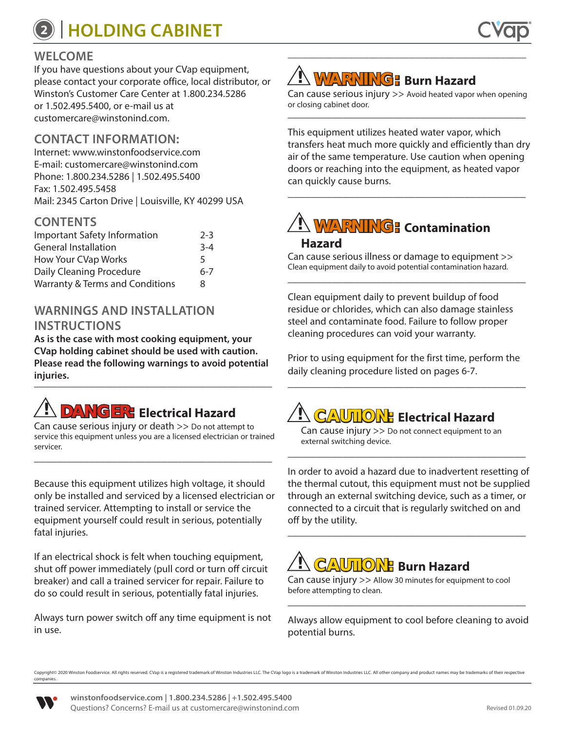## **<sup>2</sup> HOLDING CABINET**

### **WELCOME**

If you have questions about your CVap equipment, please contact your corporate office, local distributor, or Winston's Customer Care Center at 1.800.234.5286 or 1.502.495.5400, or e-mail us at customercare@winstonind.com.

### **CONTACT INFORMATION:**

Internet: www.winstonfoodservice.com E-mail: customercare@winstonind.com Phone: 1.800.234.5286 | 1.502.495.5400 Fax: 1.502.495.5458 Mail: 2345 Carton Drive | Louisville, KY 40299 USA

### **CONTENTS**

| <b>Important Safety Information</b>        | $2 - 3$ |
|--------------------------------------------|---------|
| <b>General Installation</b>                | $3 - 4$ |
| <b>How Your CVap Works</b>                 | 5       |
| Daily Cleaning Procedure                   | $6 - 7$ |
| <b>Warranty &amp; Terms and Conditions</b> | 8       |

### **WARNINGS AND INSTALLATION INSTRUCTIONS**

**As is the case with most cooking equipment, your CVap holding cabinet should be used with caution. Please read the following warnings to avoid potential injuries.** \_\_\_\_\_\_\_\_\_\_\_\_\_\_\_\_\_\_\_\_\_\_\_\_\_\_\_\_\_\_\_\_\_\_\_\_\_\_\_\_\_\_\_

# **! DANGER: Electrical Hazard**

Can cause serious injury or death >> Do not attempt to service this equipment unless you are a licensed electrician or trained servicer. \_\_\_\_\_\_\_\_\_\_\_\_\_\_\_\_\_\_\_\_\_\_\_\_\_\_\_\_\_\_\_\_\_\_\_\_\_\_\_\_\_\_\_

Because this equipment utilizes high voltage, it should only be installed and serviced by a licensed electrician or trained servicer. Attempting to install or service the equipment yourself could result in serious, potentially fatal injuries.

If an electrical shock is felt when touching equipment, shut off power immediately (pull cord or turn off circuit breaker) and call a trained servicer for repair. Failure to do so could result in serious, potentially fatal injuries.

Always turn power switch off any time equipment is not in use.

## **! WARNING: Burn Hazard**

Can cause serious injury >> Avoid heated vapor when opening or closing cabinet door. \_\_\_\_\_\_\_\_\_\_\_\_\_\_\_\_\_\_\_\_\_\_\_\_\_\_\_\_\_\_\_\_\_\_\_\_\_\_\_\_\_\_\_

\_\_\_\_\_\_\_\_\_\_\_\_\_\_\_\_\_\_\_\_\_\_\_\_\_\_\_\_\_\_\_\_\_\_\_\_\_\_\_\_\_\_\_\_\_\_\_

This equipment utilizes heated water vapor, which transfers heat much more quickly and efficiently than dry air of the same temperature. Use caution when opening doors or reaching into the equipment, as heated vapor can quickly cause burns. \_\_\_\_\_\_\_\_\_\_\_\_\_\_\_\_\_\_\_\_\_\_\_\_\_\_\_\_\_\_\_\_\_\_\_\_\_\_\_\_\_\_\_

## **! WARNING: Contamination Hazard**

Can cause serious illness or damage to equipment >> Clean equipment daily to avoid potential contamination hazard. \_\_\_\_\_\_\_\_\_\_\_\_\_\_\_\_\_\_\_\_\_\_\_\_\_\_\_\_\_\_\_\_\_\_\_\_\_\_\_\_\_\_\_

Clean equipment daily to prevent buildup of food residue or chlorides, which can also damage stainless steel and contaminate food. Failure to follow proper cleaning procedures can void your warranty.

Prior to using equipment for the first time, perform the daily cleaning procedure listed on pages 6-7. \_\_\_\_\_\_\_\_\_\_\_\_\_\_\_\_\_\_\_\_\_\_\_\_\_\_\_\_\_\_\_\_\_\_\_\_\_\_\_\_\_\_\_

# **! CAUTION: Electrical Hazard**

Can cause injury >> Do not connect equipment to an external switching device.

\_\_\_\_\_\_\_\_\_\_\_\_\_\_\_\_\_\_\_\_\_\_\_\_\_\_\_\_\_\_\_\_\_\_\_\_\_\_\_\_\_\_\_

In order to avoid a hazard due to inadvertent resetting of the thermal cutout, this equipment must not be supplied through an external switching device, such as a timer, or connected to a circuit that is regularly switched on and off by the utility. \_\_\_\_\_\_\_\_\_\_\_\_\_\_\_\_\_\_\_\_\_\_\_\_\_\_\_\_\_\_\_\_\_\_\_\_\_\_\_\_\_\_\_

# **! CAUTION: Burn Hazard**

Can cause injury >> Allow 30 minutes for equipment to cool before attempting to clean. \_\_\_\_\_\_\_\_\_\_\_\_\_\_\_\_\_\_\_\_\_\_\_\_\_\_\_\_\_\_\_\_\_\_\_\_\_\_\_\_\_\_\_

Always allow equipment to cool before cleaning to avoid potential burns.

Copyright© 2020 Winston Foodservice. All rights reserved. CVap is a registered trademark of Winston Industries LLC. The CVap logo is a trademark of Winston Industries LLC. All other company and product names may be tradema companies.

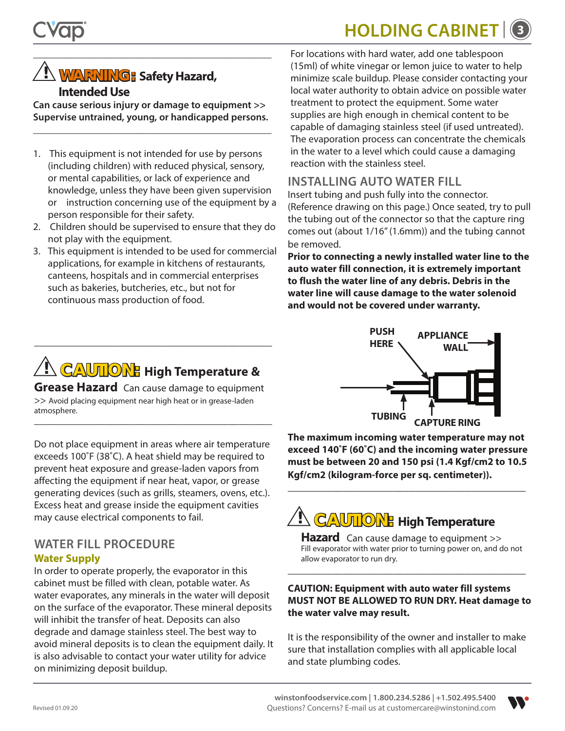## **HOLDING CABINE**



### **! WARNING: Safety Hazard, Intended Use**

**Can cause serious injury or damage to equipment >> Supervise untrained, young, or handicapped persons.**

\_\_\_\_\_\_\_\_\_\_\_\_\_\_\_\_\_\_\_\_\_\_\_\_\_\_\_\_\_\_\_\_\_\_\_\_\_\_\_\_\_\_\_\_\_\_\_

\_\_\_\_\_\_\_\_\_\_\_\_\_\_\_\_\_\_\_\_\_\_\_\_\_\_\_\_\_\_\_\_\_\_\_\_\_\_\_\_\_\_\_\_\_\_\_

- 1. This equipment is not intended for use by persons (including children) with reduced physical, sensory, or mental capabilities, or lack of experience and knowledge, unless they have been given supervision or instruction concerning use of the equipment by a person responsible for their safety.
- 2. Children should be supervised to ensure that they do not play with the equipment.
- 3. This equipment is intended to be used for commercial applications, for example in kitchens of restaurants, canteens, hospitals and in commercial enterprises such as bakeries, butcheries, etc., but not for continuous mass production of food.

For locations with hard water, add one tablespoon (15ml) of white vinegar or lemon juice to water to help minimize scale buildup. Please consider contacting your local water authority to obtain advice on possible water treatment to protect the equipment. Some water supplies are high enough in chemical content to be capable of damaging stainless steel (if used untreated). The evaporation process can concentrate the chemicals in the water to a level which could cause a damaging reaction with the stainless steel.

### **INSTALLING AUTO WATER FILL**

Insert tubing and push fully into the connector. (Reference drawing on this page.) Once seated, try to pull the tubing out of the connector so that the capture ring comes out (about 1/16" (1.6mm)) and the tubing cannot be removed.

**Prior to connecting a newly installed water line to the auto water fill connection, it is extremely important to flush the water line of any debris. Debris in the water line will cause damage to the water solenoid and would not be covered under warranty.**

## **! CAUTION: High Temperature &**

\_\_\_\_\_\_\_\_\_\_\_\_\_\_\_\_\_\_\_\_\_\_\_\_\_\_\_\_\_\_\_\_\_\_\_\_\_\_\_\_\_\_\_

**Grease Hazard** Can cause damage to equipment >> Avoid placing equipment near high heat or in grease-laden atmosphere. \_\_\_\_\_\_\_\_\_\_\_\_\_\_\_\_\_\_\_\_\_\_\_\_\_\_\_\_\_\_\_\_\_\_\_\_\_\_\_\_\_\_\_

Do not place equipment in areas where air temperature exceeds 100˚F (38˚C). A heat shield may be required to prevent heat exposure and grease-laden vapors from affecting the equipment if near heat, vapor, or grease generating devices (such as grills, steamers, ovens, etc.). Excess heat and grease inside the equipment cavities may cause electrical components to fail.

### **WATER FILL PROCEDURE Water Supply**

In order to operate properly, the evaporator in this cabinet must be filled with clean, potable water. As water evaporates, any minerals in the water will deposit on the surface of the evaporator. These mineral deposits will inhibit the transfer of heat. Deposits can also degrade and damage stainless steel. The best way to avoid mineral deposits is to clean the equipment daily. It is also advisable to contact your water utility for advice on minimizing deposit buildup.



**The maximum incoming water temperature may not exceed 140˚F (60˚C) and the incoming water pressure must be between 20 and 150 psi (1.4 Kgf/cm2 to 10.5 Kgf/cm2 (kilogram-force per sq. centimeter)).**

\_\_\_\_\_\_\_\_\_\_\_\_\_\_\_\_\_\_\_\_\_\_\_\_\_\_\_\_\_\_\_\_\_\_\_\_\_\_\_\_\_\_\_



**Hazard** Can cause damage to equipment >> Fill evaporator with water prior to turning power on, and do not allow evaporator to run dry. \_\_\_\_\_\_\_\_\_\_\_\_\_\_\_\_\_\_\_\_\_\_\_\_\_\_\_\_\_\_\_\_\_\_\_\_\_\_\_\_\_\_\_

### **CAUTION: Equipment with auto water fill systems MUST NOT BE ALLOWED TO RUN DRY. Heat damage to the water valve may result.**

It is the responsibility of the owner and installer to make sure that installation complies with all applicable local and state plumbing codes.

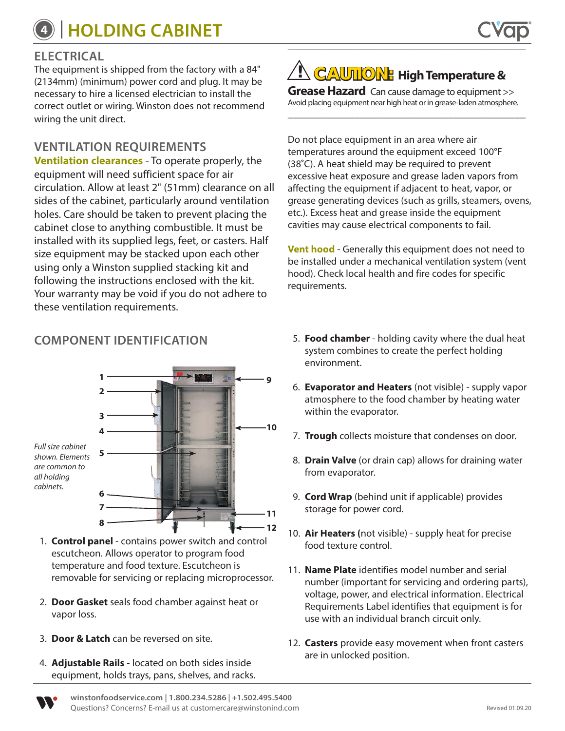## **<sup>4</sup> HOLDING CABINET**

The equipment is shipped from the factory with a 84" (2134mm) (minimum) power cord and plug. It may be necessary to hire a licensed electrician to install the correct outlet or wiring. Winston does not recommend wiring the unit direct.

### **VENTILATION REQUIREMENTS**

**Ventilation clearances** - To operate properly, the equipment will need sufficient space for air circulation. Allow at least 2" (51mm) clearance on all sides of the cabinet, particularly around ventilation holes. Care should be taken to prevent placing the cabinet close to anything combustible. It must be installed with its supplied legs, feet, or casters. Half size equipment may be stacked upon each other using only a Winston supplied stacking kit and following the instructions enclosed with the kit. Your warranty may be void if you do not adhere to these ventilation requirements.

*shown. Elements are common to all holding cabinets.* **5 6 7**

- 1. **Control panel** contains power switch and control escutcheon. Allows operator to program food temperature and food texture. Escutcheon is removable for servicing or replacing microprocessor.
- 2. **Door Gasket** seals food chamber against heat or vapor loss.
- 3. **Door & Latch** can be reversed on site.
- 4. **Adjustable Rails** located on both sides inside equipment, holds trays, pans, shelves, and racks.

**! CAUTION: High Temperature &** 

**Grease Hazard** Can cause damage to equipment >> Avoid placing equipment near high heat or in grease-laden atmosphere.

\_\_\_\_\_\_\_\_\_\_\_\_\_\_\_\_\_\_\_\_\_\_\_\_\_\_\_\_\_\_\_\_\_\_\_\_\_\_\_\_\_\_\_

Do not place equipment in an area where air temperatures around the equipment exceed 100°F (38**˚**C). A heat shield may be required to prevent excessive heat exposure and grease laden vapors from affecting the equipment if adjacent to heat, vapor, or grease generating devices (such as grills, steamers, ovens, etc.). Excess heat and grease inside the equipment cavities may cause electrical components to fail.

**Vent hood** - Generally this equipment does not need to be installed under a mechanical ventilation system (vent hood). Check local health and fire codes for specific requirements.

- **COMPONENT IDENTIFICATION** 5. **Food chamber**  holding cavity where the dual heat system combines to create the perfect holding environment.
	- 6. **Evaporator and Heaters** (not visible) supply vapor atmosphere to the food chamber by heating water within the evaporator.
	- 7. **Trough** collects moisture that condenses on door.
	- 8. **Drain Valve** (or drain cap) allows for draining water from evaporator.
	- 9. **Cord Wrap** (behind unit if applicable) provides storage for power cord.
	- 10. **Air Heaters (**not visible) supply heat for precise food texture control.
	- 11. **Name Plate** identifies model number and serial number (important for servicing and ordering parts), voltage, power, and electrical information. Electrical Requirements Label identifies that equipment is for use with an individual branch circuit only.
	- 12. **Casters** provide easy movement when front casters are in unlocked position.



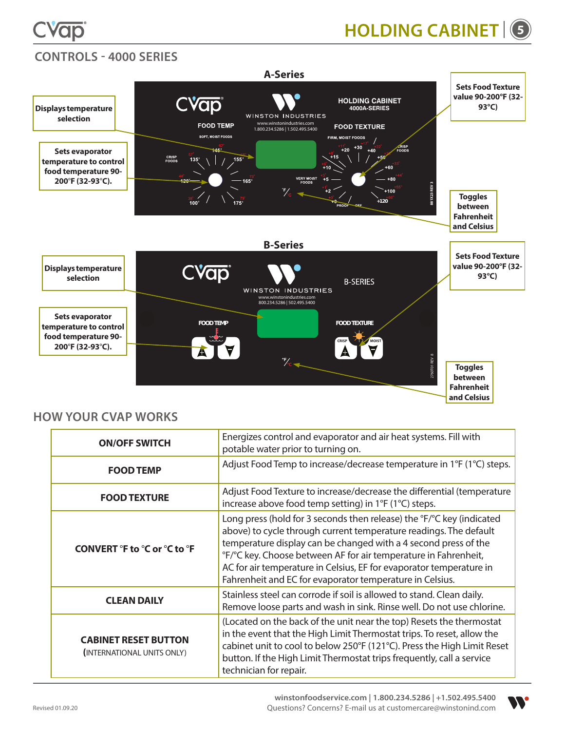



### **CONTROLS - 4000 SERIES**



### **HOW YOUR CVAP WORKS**

| <b>ON/OFF SWITCH</b>                                      | Energizes control and evaporator and air heat systems. Fill with<br>potable water prior to turning on.                                                                                                                                                                                                                                                                                                              |
|-----------------------------------------------------------|---------------------------------------------------------------------------------------------------------------------------------------------------------------------------------------------------------------------------------------------------------------------------------------------------------------------------------------------------------------------------------------------------------------------|
| <b>FOOD TEMP</b>                                          | Adjust Food Temp to increase/decrease temperature in 1°F (1°C) steps.                                                                                                                                                                                                                                                                                                                                               |
| <b>FOOD TEXTURE</b>                                       | Adjust Food Texture to increase/decrease the differential (temperature<br>increase above food temp setting) in 1°F (1°C) steps.                                                                                                                                                                                                                                                                                     |
| <b>CONVERT °F to °C or °C to °F</b>                       | Long press (hold for 3 seconds then release) the °F/°C key (indicated<br>above) to cycle through current temperature readings. The default<br>temperature display can be changed with a 4 second press of the<br>°F/°C key. Choose between AF for air temperature in Fahrenheit,<br>AC for air temperature in Celsius, EF for evaporator temperature in<br>Fahrenheit and EC for evaporator temperature in Celsius. |
| <b>CLEAN DAILY</b>                                        | Stainless steel can corrode if soil is allowed to stand. Clean daily.<br>Remove loose parts and wash in sink. Rinse well. Do not use chlorine.                                                                                                                                                                                                                                                                      |
| <b>CABINET RESET BUTTON</b><br>(INTERNATIONAL UNITS ONLY) | (Located on the back of the unit near the top) Resets the thermostat<br>in the event that the High Limit Thermostat trips. To reset, allow the<br>cabinet unit to cool to below 250°F (121°C). Press the High Limit Reset<br>button. If the High Limit Thermostat trips frequently, call a service<br>technician for repair.                                                                                        |



Revised 01.09.20

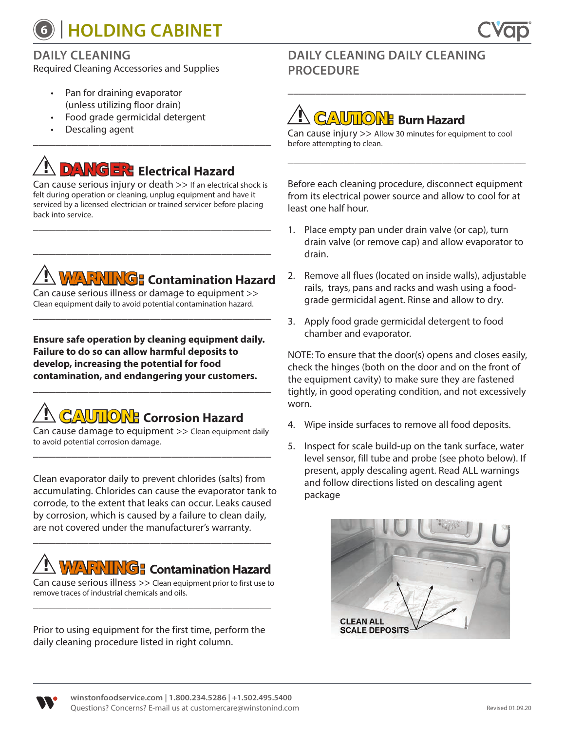## **<sup>6</sup> HOLDING CABINET**



### **DAILY CLEANING**

Required Cleaning Accessories and Supplies

- Pan for draining evaporator (unless utilizing floor drain)
- Food grade germicidal detergent
- Descaling agent \_\_\_\_\_\_\_\_\_\_\_\_\_\_\_\_\_\_\_\_\_\_\_\_\_\_\_\_\_\_\_\_\_\_\_\_\_\_\_\_\_\_\_

## **! DANGER: Electrical Hazard**

Can cause serious injury or death >> If an electrical shock is felt during operation or cleaning, unplug equipment and have it serviced by a licensed electrician or trained servicer before placing back into service.

\_\_\_\_\_\_\_\_\_\_\_\_\_\_\_\_\_\_\_\_\_\_\_\_\_\_\_\_\_\_\_\_\_\_\_\_\_\_\_\_\_\_\_

\_\_\_\_\_\_\_\_\_\_\_\_\_\_\_\_\_\_\_\_\_\_\_\_\_\_\_\_\_\_\_\_\_\_\_\_\_\_\_\_\_\_\_

## **! WARNING: Contamination Hazard**

Can cause serious illness or damage to equipment >> Clean equipment daily to avoid potential contamination hazard.

\_\_\_\_\_\_\_\_\_\_\_\_\_\_\_\_\_\_\_\_\_\_\_\_\_\_\_\_\_\_\_\_\_\_\_\_\_\_\_\_\_\_\_

**Ensure safe operation by cleaning equipment daily. Failure to do so can allow harmful deposits to develop, increasing the potential for food contamination, and endangering your customers.**

\_\_\_\_\_\_\_\_\_\_\_\_\_\_\_\_\_\_\_\_\_\_\_\_\_\_\_\_\_\_\_\_\_\_\_\_\_\_\_\_\_\_\_

## **! CAUTION: Corrosion Hazard**

Can cause damage to equipment >> Clean equipment daily to avoid potential corrosion damage. \_\_\_\_\_\_\_\_\_\_\_\_\_\_\_\_\_\_\_\_\_\_\_\_\_\_\_\_\_\_\_\_\_\_\_\_\_\_\_\_\_\_\_

Clean evaporator daily to prevent chlorides (salts) from accumulating. Chlorides can cause the evaporator tank to corrode, to the extent that leaks can occur. Leaks caused by corrosion, which is caused by a failure to clean daily, are not covered under the manufacturer's warranty.

## **! WARNING: Contamination Hazard**

\_\_\_\_\_\_\_\_\_\_\_\_\_\_\_\_\_\_\_\_\_\_\_\_\_\_\_\_\_\_\_\_\_\_\_\_\_\_\_\_\_\_\_

Can cause serious illness >> Clean equipment prior to first use to remove traces of industrial chemicals and oils. \_\_\_\_\_\_\_\_\_\_\_\_\_\_\_\_\_\_\_\_\_\_\_\_\_\_\_\_\_\_\_\_\_\_\_\_\_\_\_\_\_\_\_

Prior to using equipment for the first time, perform the daily cleaning procedure listed in right column.

### **DAILY CLEANING DAILY CLEANING PROCEDURE**

## **! CAUTION: Burn Hazard**

Can cause injury >> Allow 30 minutes for equipment to cool before attempting to clean.

\_\_\_\_\_\_\_\_\_\_\_\_\_\_\_\_\_\_\_\_\_\_\_\_\_\_\_\_\_\_\_\_\_\_\_\_\_\_\_\_\_\_\_

Before each cleaning procedure, disconnect equipment from its electrical power source and allow to cool for at least one half hour.

\_\_\_\_\_\_\_\_\_\_\_\_\_\_\_\_\_\_\_\_\_\_\_\_\_\_\_\_\_\_\_\_\_\_\_\_\_\_\_\_\_\_\_

- 1. Place empty pan under drain valve (or cap), turn drain valve (or remove cap) and allow evaporator to drain.
- 2. Remove all flues (located on inside walls), adjustable rails, trays, pans and racks and wash using a foodgrade germicidal agent. Rinse and allow to dry.
- 3. Apply food grade germicidal detergent to food chamber and evaporator.

NOTE: To ensure that the door(s) opens and closes easily, check the hinges (both on the door and on the front of the equipment cavity) to make sure they are fastened tightly, in good operating condition, and not excessively worn.

- 4. Wipe inside surfaces to remove all food deposits.
- 5. Inspect for scale build-up on the tank surface, water level sensor, fill tube and probe (see photo below). If present, apply descaling agent. Read ALL warnings and follow directions listed on descaling agent package



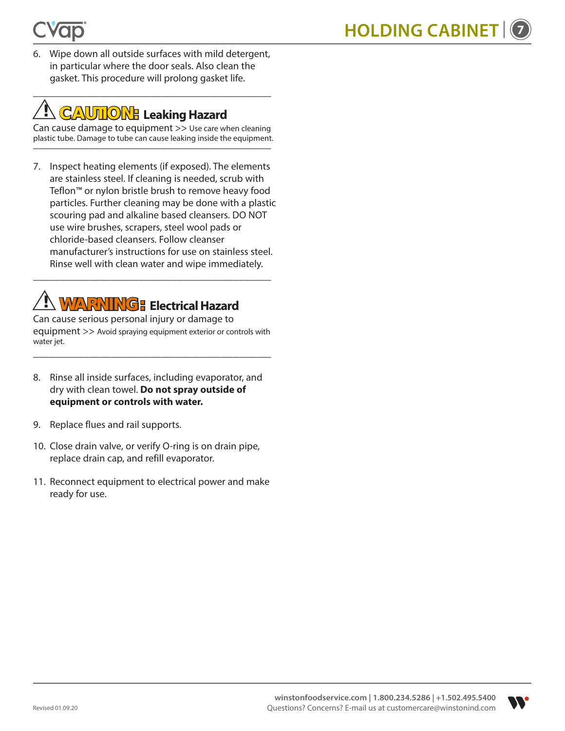6. Wipe down all outside surfaces with mild detergent, in particular where the door seals. Also clean the gasket. This procedure will prolong gasket life.

\_\_\_\_\_\_\_\_\_\_\_\_\_\_\_\_\_\_\_\_\_\_\_\_\_\_\_\_\_\_\_\_\_\_\_\_\_\_\_\_\_\_\_

## **! CAUTION: Leaking Hazard**

Can cause damage to equipment >> Use care when cleaning plastic tube. Damage to tube can cause leaking inside the equipment.<br>————————————————————

7. Inspect heating elements (if exposed). The elements are stainless steel. If cleaning is needed, scrub with Teflon™ or nylon bristle brush to remove heavy food particles. Further cleaning may be done with a plastic scouring pad and alkaline based cleansers. DO NOT use wire brushes, scrapers, steel wool pads or chloride-based cleansers. Follow cleanser manufacturer's instructions for use on stainless steel. Rinse well with clean water and wipe immediately.

## **! WARNING: Electrical Hazard**

Can cause serious personal injury or damage to equipment >> Avoid spraying equipment exterior or controls with water jet.

\_\_\_\_\_\_\_\_\_\_\_\_\_\_\_\_\_\_\_\_\_\_\_\_\_\_\_\_\_\_\_\_\_\_\_\_\_\_\_\_\_\_\_

\_\_\_\_\_\_\_\_\_\_\_\_\_\_\_\_\_\_\_\_\_\_\_\_\_\_\_\_\_\_\_\_\_\_\_\_\_\_\_\_\_\_\_

- 8. Rinse all inside surfaces, including evaporator, and dry with clean towel. **Do not spray outside of equipment or controls with water.**
- 9. Replace flues and rail supports.
- 10. Close drain valve, or verify O-ring is on drain pipe, replace drain cap, and refill evaporator.
- 11. Reconnect equipment to electrical power and make ready for use.